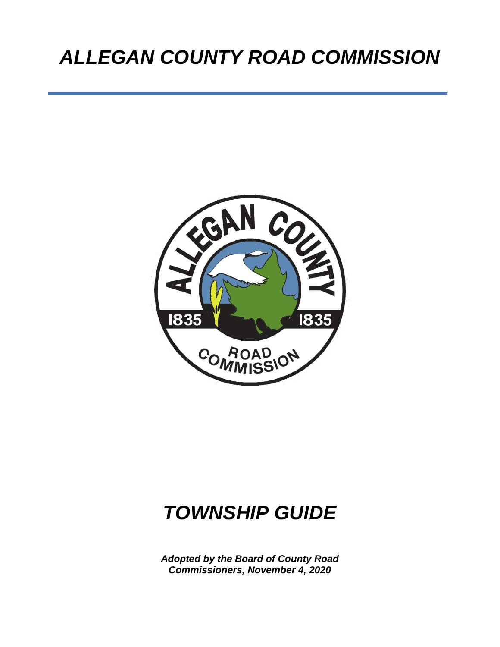# *ALLEGAN COUNTY ROAD COMMISSION*



# *TOWNSHIP GUIDE*

*Adopted by the Board of County Road Commissioners, November 4, 2020*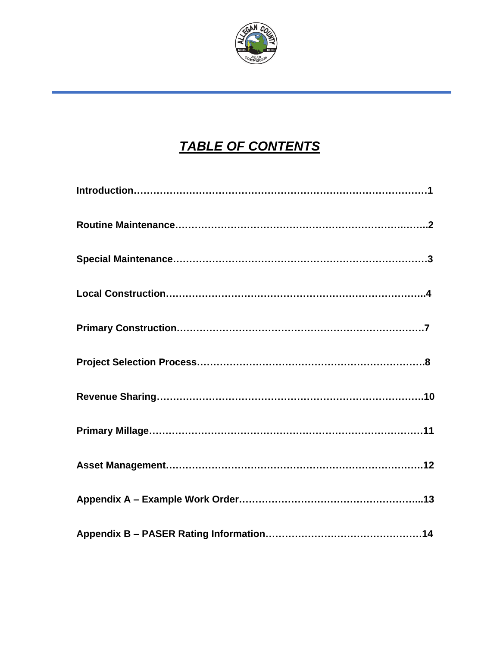

# *TABLE OF CONTENTS*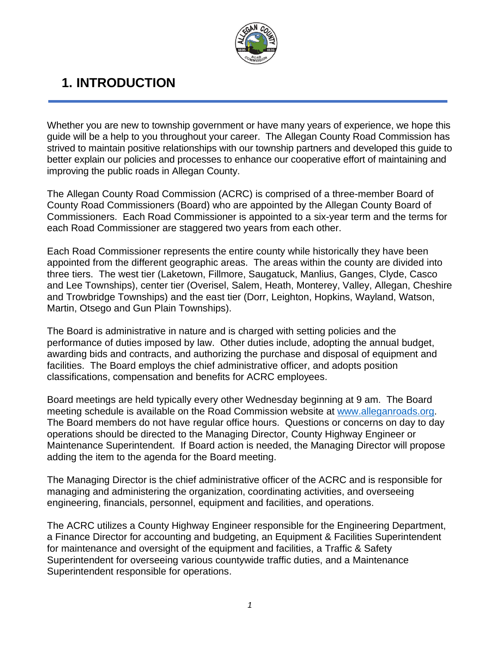

### **1. INTRODUCTION**

Whether you are new to township government or have many years of experience, we hope this guide will be a help to you throughout your career. The Allegan County Road Commission has strived to maintain positive relationships with our township partners and developed this guide to better explain our policies and processes to enhance our cooperative effort of maintaining and improving the public roads in Allegan County.

The Allegan County Road Commission (ACRC) is comprised of a three-member Board of County Road Commissioners (Board) who are appointed by the Allegan County Board of Commissioners. Each Road Commissioner is appointed to a six-year term and the terms for each Road Commissioner are staggered two years from each other.

Each Road Commissioner represents the entire county while historically they have been appointed from the different geographic areas. The areas within the county are divided into three tiers. The west tier (Laketown, Fillmore, Saugatuck, Manlius, Ganges, Clyde, Casco and Lee Townships), center tier (Overisel, Salem, Heath, Monterey, Valley, Allegan, Cheshire and Trowbridge Townships) and the east tier (Dorr, Leighton, Hopkins, Wayland, Watson, Martin, Otsego and Gun Plain Townships).

The Board is administrative in nature and is charged with setting policies and the performance of duties imposed by law. Other duties include, adopting the annual budget, awarding bids and contracts, and authorizing the purchase and disposal of equipment and facilities. The Board employs the chief administrative officer, and adopts position classifications, compensation and benefits for ACRC employees.

Board meetings are held typically every other Wednesday beginning at 9 am. The Board meeting schedule is available on the Road Commission website at [www.alleganroads.org.](http://www.alleganroads.org/) The Board members do not have regular office hours. Questions or concerns on day to day operations should be directed to the Managing Director, County Highway Engineer or Maintenance Superintendent. If Board action is needed, the Managing Director will propose adding the item to the agenda for the Board meeting.

The Managing Director is the chief administrative officer of the ACRC and is responsible for managing and administering the organization, coordinating activities, and overseeing engineering, financials, personnel, equipment and facilities, and operations.

The ACRC utilizes a County Highway Engineer responsible for the Engineering Department, a Finance Director for accounting and budgeting, an Equipment & Facilities Superintendent for maintenance and oversight of the equipment and facilities, a Traffic & Safety Superintendent for overseeing various countywide traffic duties, and a Maintenance Superintendent responsible for operations.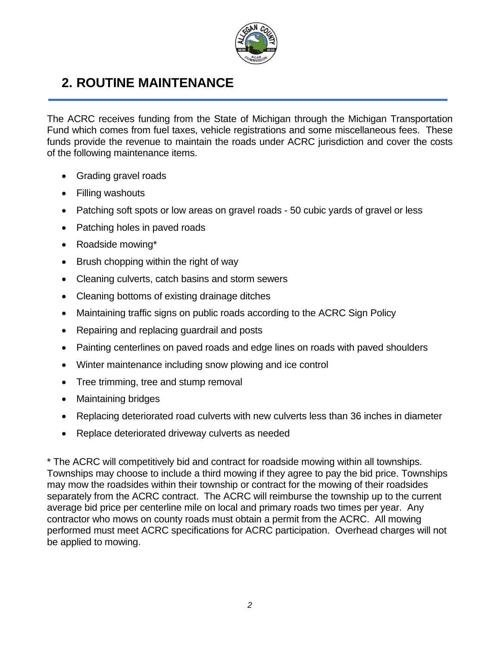

### **2. ROUTINE MAINTENANCE**

The ACRC receives funding from the State of Michigan through the Michigan Transportation Fund which comes from fuel taxes, vehicle registrations and some miscellaneous fees. These funds provide the revenue to maintain the roads under ACRC jurisdiction and cover the costs of the following maintenance items.

- Grading gravel roads
- Filling washouts
- Patching soft spots or low areas on gravel roads 50 cubic yards of gravel or less
- Patching holes in paved roads
- Roadside mowing\*
- Brush chopping within the right of way
- Cleaning culverts, catch basins and storm sewers
- Cleaning bottoms of existing drainage ditches
- Maintaining traffic signs on public roads according to the ACRC Sign Policy
- Repairing and replacing guardrail and posts
- Painting centerlines on paved roads and edge lines on roads with paved shoulders
- Winter maintenance including snow plowing and ice control
- Tree trimming, tree and stump removal
- Maintaining bridges
- Replacing deteriorated road culverts with new culverts less than 36 inches in diameter
- Replace deteriorated driveway culverts as needed

\* The ACRC will competitively bid and contract for roadside mowing within all townships. Townships may choose to include a third mowing if they agree to pay the bid price. Townships may mow the roadsides within their township or contract for the mowing of their roadsides separately from the ACRC contract. The ACRC will reimburse the township up to the current average bid price per centerline mile on local and primary roads two times per year. Any contractor who mows on county roads must obtain a permit from the ACRC. All mowing performed must meet ACRC specifications for ACRC participation. Overhead charges will not be applied to mowing.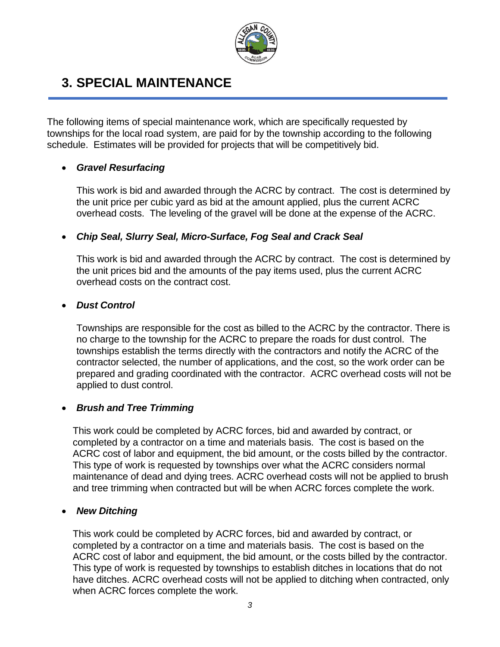

### **3. SPECIAL MAINTENANCE**

The following items of special maintenance work, which are specifically requested by townships for the local road system, are paid for by the township according to the following schedule. Estimates will be provided for projects that will be competitively bid.

#### • *Gravel Resurfacing*

This work is bid and awarded through the ACRC by contract. The cost is determined by the unit price per cubic yard as bid at the amount applied, plus the current ACRC overhead costs. The leveling of the gravel will be done at the expense of the ACRC.

#### • *Chip Seal, Slurry Seal, Micro-Surface, Fog Seal and Crack Seal*

This work is bid and awarded through the ACRC by contract. The cost is determined by the unit prices bid and the amounts of the pay items used, plus the current ACRC overhead costs on the contract cost.

#### • *Dust Control*

Townships are responsible for the cost as billed to the ACRC by the contractor. There is no charge to the township for the ACRC to prepare the roads for dust control. The townships establish the terms directly with the contractors and notify the ACRC of the contractor selected, the number of applications, and the cost, so the work order can be prepared and grading coordinated with the contractor. ACRC overhead costs will not be applied to dust control.

#### • *Brush and Tree Trimming*

This work could be completed by ACRC forces, bid and awarded by contract, or completed by a contractor on a time and materials basis. The cost is based on the ACRC cost of labor and equipment, the bid amount, or the costs billed by the contractor. This type of work is requested by townships over what the ACRC considers normal maintenance of dead and dying trees. ACRC overhead costs will not be applied to brush and tree trimming when contracted but will be when ACRC forces complete the work.

#### • *New Ditching*

This work could be completed by ACRC forces, bid and awarded by contract, or completed by a contractor on a time and materials basis. The cost is based on the ACRC cost of labor and equipment, the bid amount, or the costs billed by the contractor. This type of work is requested by townships to establish ditches in locations that do not have ditches. ACRC overhead costs will not be applied to ditching when contracted, only when ACRC forces complete the work.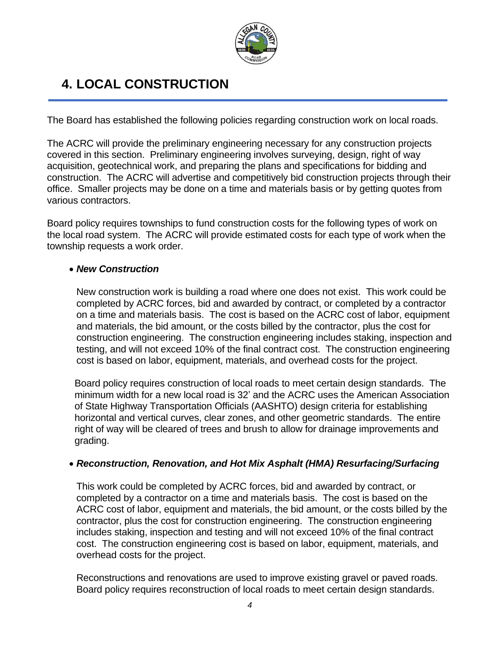

### **4. LOCAL CONSTRUCTION**

The Board has established the following policies regarding construction work on local roads.

The ACRC will provide the preliminary engineering necessary for any construction projects covered in this section. Preliminary engineering involves surveying, design, right of way acquisition, geotechnical work, and preparing the plans and specifications for bidding and construction. The ACRC will advertise and competitively bid construction projects through their office. Smaller projects may be done on a time and materials basis or by getting quotes from various contractors.

Board policy requires townships to fund construction costs for the following types of work on the local road system. The ACRC will provide estimated costs for each type of work when the township requests a work order.

#### • *New Construction*

New construction work is building a road where one does not exist. This work could be completed by ACRC forces, bid and awarded by contract, or completed by a contractor on a time and materials basis. The cost is based on the ACRC cost of labor, equipment and materials, the bid amount, or the costs billed by the contractor, plus the cost for construction engineering. The construction engineering includes staking, inspection and testing, and will not exceed 10% of the final contract cost. The construction engineering cost is based on labor, equipment, materials, and overhead costs for the project.

Board policy requires construction of local roads to meet certain design standards. The minimum width for a new local road is 32' and the ACRC uses the American Association of State Highway Transportation Officials (AASHTO) design criteria for establishing horizontal and vertical curves, clear zones, and other geometric standards. The entire right of way will be cleared of trees and brush to allow for drainage improvements and grading.

#### • *Reconstruction, Renovation, and Hot Mix Asphalt (HMA) Resurfacing/Surfacing*

This work could be completed by ACRC forces, bid and awarded by contract, or completed by a contractor on a time and materials basis. The cost is based on the ACRC cost of labor, equipment and materials, the bid amount, or the costs billed by the contractor, plus the cost for construction engineering. The construction engineering includes staking, inspection and testing and will not exceed 10% of the final contract cost. The construction engineering cost is based on labor, equipment, materials, and overhead costs for the project.

Reconstructions and renovations are used to improve existing gravel or paved roads. Board policy requires reconstruction of local roads to meet certain design standards.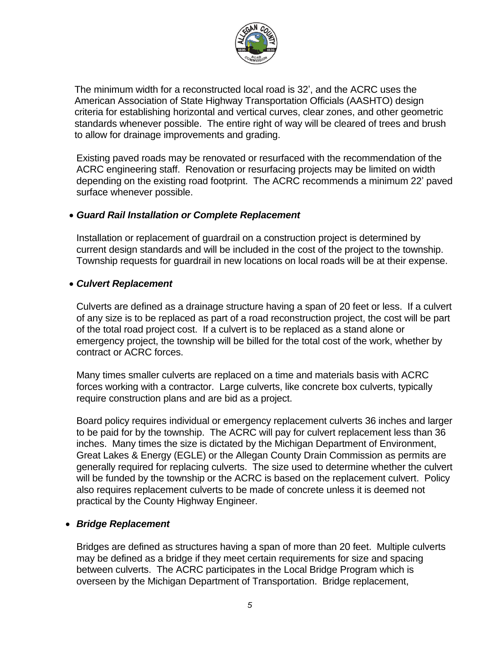

The minimum width for a reconstructed local road is 32', and the ACRC uses the American Association of State Highway Transportation Officials (AASHTO) design criteria for establishing horizontal and vertical curves, clear zones, and other geometric standards whenever possible. The entire right of way will be cleared of trees and brush to allow for drainage improvements and grading.

Existing paved roads may be renovated or resurfaced with the recommendation of the ACRC engineering staff. Renovation or resurfacing projects may be limited on width depending on the existing road footprint. The ACRC recommends a minimum 22' paved surface whenever possible.

#### • *Guard Rail Installation or Complete Replacement*

Installation or replacement of guardrail on a construction project is determined by current design standards and will be included in the cost of the project to the township. Township requests for guardrail in new locations on local roads will be at their expense.

#### • *Culvert Replacement*

Culverts are defined as a drainage structure having a span of 20 feet or less. If a culvert of any size is to be replaced as part of a road reconstruction project, the cost will be part of the total road project cost. If a culvert is to be replaced as a stand alone or emergency project, the township will be billed for the total cost of the work, whether by contract or ACRC forces.

Many times smaller culverts are replaced on a time and materials basis with ACRC forces working with a contractor. Large culverts, like concrete box culverts, typically require construction plans and are bid as a project.

Board policy requires individual or emergency replacement culverts 36 inches and larger to be paid for by the township. The ACRC will pay for culvert replacement less than 36 inches. Many times the size is dictated by the Michigan Department of Environment, Great Lakes & Energy (EGLE) or the Allegan County Drain Commission as permits are generally required for replacing culverts. The size used to determine whether the culvert will be funded by the township or the ACRC is based on the replacement culvert. Policy also requires replacement culverts to be made of concrete unless it is deemed not practical by the County Highway Engineer.

#### • *Bridge Replacement*

Bridges are defined as structures having a span of more than 20 feet. Multiple culverts may be defined as a bridge if they meet certain requirements for size and spacing between culverts. The ACRC participates in the Local Bridge Program which is overseen by the Michigan Department of Transportation. Bridge replacement,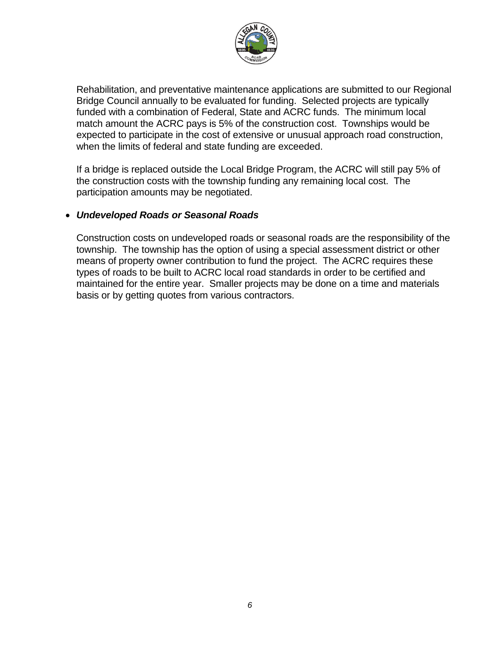

Rehabilitation, and preventative maintenance applications are submitted to our Regional Bridge Council annually to be evaluated for funding. Selected projects are typically funded with a combination of Federal, State and ACRC funds. The minimum local match amount the ACRC pays is 5% of the construction cost. Townships would be expected to participate in the cost of extensive or unusual approach road construction, when the limits of federal and state funding are exceeded.

If a bridge is replaced outside the Local Bridge Program, the ACRC will still pay 5% of the construction costs with the township funding any remaining local cost. The participation amounts may be negotiated.

#### • *Undeveloped Roads or Seasonal Roads*

Construction costs on undeveloped roads or seasonal roads are the responsibility of the township. The township has the option of using a special assessment district or other means of property owner contribution to fund the project. The ACRC requires these types of roads to be built to ACRC local road standards in order to be certified and maintained for the entire year. Smaller projects may be done on a time and materials basis or by getting quotes from various contractors.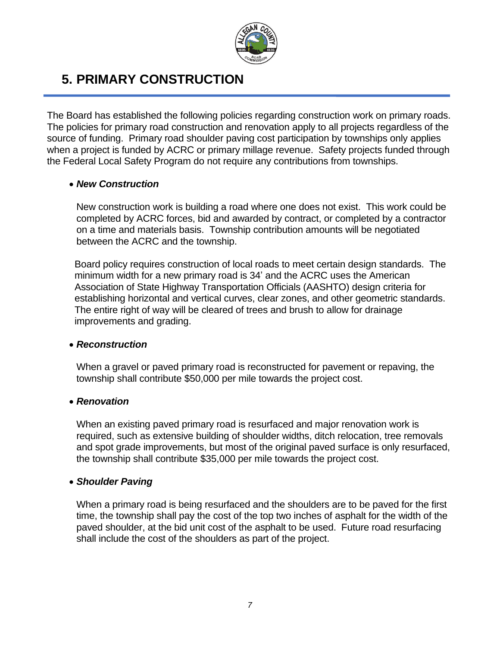

### **5. PRIMARY CONSTRUCTION**

The Board has established the following policies regarding construction work on primary roads. The policies for primary road construction and renovation apply to all projects regardless of the source of funding. Primary road shoulder paving cost participation by townships only applies when a project is funded by ACRC or primary millage revenue. Safety projects funded through the Federal Local Safety Program do not require any contributions from townships.

#### • *New Construction*

New construction work is building a road where one does not exist. This work could be completed by ACRC forces, bid and awarded by contract, or completed by a contractor on a time and materials basis. Township contribution amounts will be negotiated between the ACRC and the township.

Board policy requires construction of local roads to meet certain design standards. The minimum width for a new primary road is 34' and the ACRC uses the American Association of State Highway Transportation Officials (AASHTO) design criteria for establishing horizontal and vertical curves, clear zones, and other geometric standards. The entire right of way will be cleared of trees and brush to allow for drainage improvements and grading.

#### • *Reconstruction*

When a gravel or paved primary road is reconstructed for pavement or repaving, the township shall contribute \$50,000 per mile towards the project cost.

#### • *Renovation*

When an existing paved primary road is resurfaced and major renovation work is required, such as extensive building of shoulder widths, ditch relocation, tree removals and spot grade improvements, but most of the original paved surface is only resurfaced, the township shall contribute \$35,000 per mile towards the project cost.

#### • *Shoulder Paving*

When a primary road is being resurfaced and the shoulders are to be paved for the first time, the township shall pay the cost of the top two inches of asphalt for the width of the paved shoulder, at the bid unit cost of the asphalt to be used. Future road resurfacing shall include the cost of the shoulders as part of the project.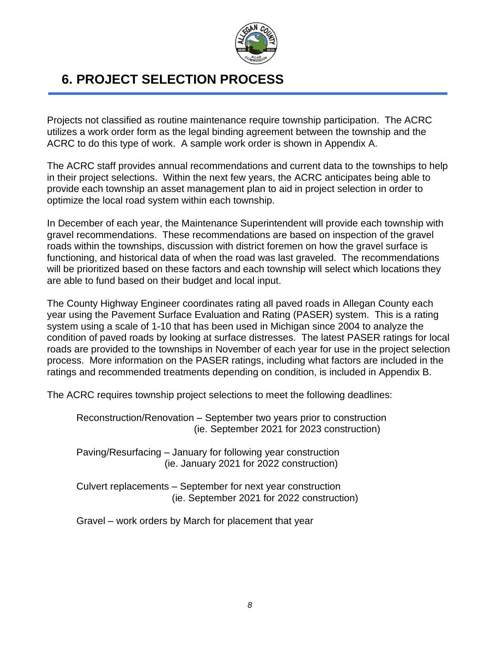

### **6. PROJECT SELECTION PROCESS**

Projects not classified as routine maintenance require township participation. The ACRC utilizes a work order form as the legal binding agreement between the township and the ACRC to do this type of work. A sample work order is shown in Appendix A.

The ACRC staff provides annual recommendations and current data to the townships to help in their project selections. Within the next few years, the ACRC anticipates being able to provide each township an asset management plan to aid in project selection in order to optimize the local road system within each township.

In December of each year, the Maintenance Superintendent will provide each township with gravel recommendations. These recommendations are based on inspection of the gravel roads within the townships, discussion with district foremen on how the gravel surface is functioning, and historical data of when the road was last graveled. The recommendations will be prioritized based on these factors and each township will select which locations they are able to fund based on their budget and local input.

The County Highway Engineer coordinates rating all paved roads in Allegan County each year using the Pavement Surface Evaluation and Rating (PASER) system. This is a rating system using a scale of 1-10 that has been used in Michigan since 2004 to analyze the condition of paved roads by looking at surface distresses. The latest PASER ratings for local roads are provided to the townships in November of each year for use in the project selection process. More information on the PASER ratings, including what factors are included in the ratings and recommended treatments depending on condition, is included in Appendix B.

The ACRC requires township project selections to meet the following deadlines:

Reconstruction/Renovation – September two years prior to construction (ie. September 2021 for 2023 construction)

Paving/Resurfacing – January for following year construction (ie. January 2021 for 2022 construction)

Culvert replacements – September for next year construction (ie. September 2021 for 2022 construction)

Gravel – work orders by March for placement that year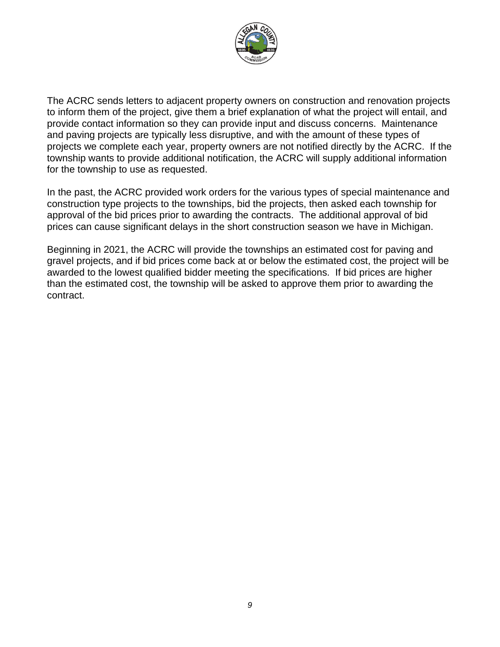

The ACRC sends letters to adjacent property owners on construction and renovation projects to inform them of the project, give them a brief explanation of what the project will entail, and provide contact information so they can provide input and discuss concerns. Maintenance and paving projects are typically less disruptive, and with the amount of these types of projects we complete each year, property owners are not notified directly by the ACRC. If the township wants to provide additional notification, the ACRC will supply additional information for the township to use as requested.

In the past, the ACRC provided work orders for the various types of special maintenance and construction type projects to the townships, bid the projects, then asked each township for approval of the bid prices prior to awarding the contracts. The additional approval of bid prices can cause significant delays in the short construction season we have in Michigan.

Beginning in 2021, the ACRC will provide the townships an estimated cost for paving and gravel projects, and if bid prices come back at or below the estimated cost, the project will be awarded to the lowest qualified bidder meeting the specifications. If bid prices are higher than the estimated cost, the township will be asked to approve them prior to awarding the contract.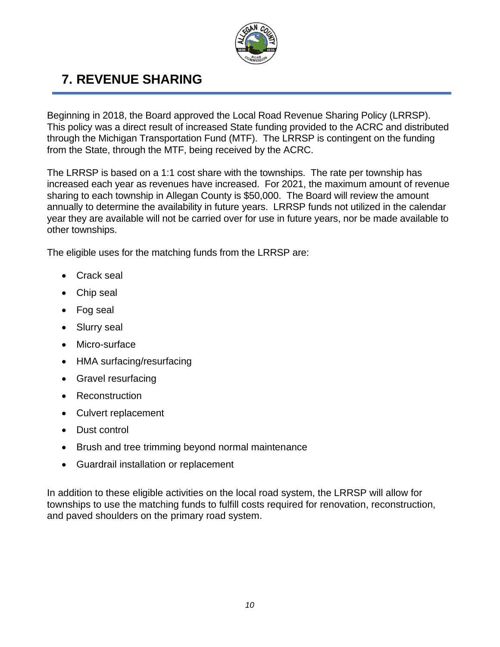

## **7. REVENUE SHARING**

Beginning in 2018, the Board approved the Local Road Revenue Sharing Policy (LRRSP). This policy was a direct result of increased State funding provided to the ACRC and distributed through the Michigan Transportation Fund (MTF). The LRRSP is contingent on the funding from the State, through the MTF, being received by the ACRC.

The LRRSP is based on a 1:1 cost share with the townships. The rate per township has increased each year as revenues have increased. For 2021, the maximum amount of revenue sharing to each township in Allegan County is \$50,000. The Board will review the amount annually to determine the availability in future years. LRRSP funds not utilized in the calendar year they are available will not be carried over for use in future years, nor be made available to other townships.

The eligible uses for the matching funds from the LRRSP are:

- Crack seal
- Chip seal
- Fog seal
- Slurry seal
- Micro-surface
- HMA surfacing/resurfacing
- Gravel resurfacing
- Reconstruction
- Culvert replacement
- Dust control
- Brush and tree trimming beyond normal maintenance
- Guardrail installation or replacement

In addition to these eligible activities on the local road system, the LRRSP will allow for townships to use the matching funds to fulfill costs required for renovation, reconstruction, and paved shoulders on the primary road system.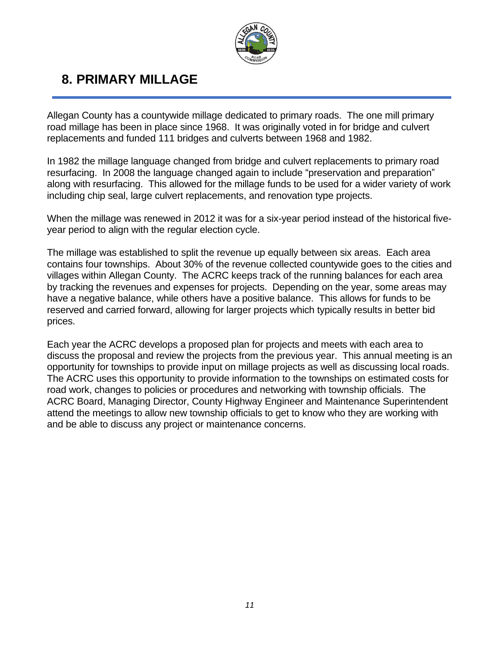

### **8. PRIMARY MILLAGE**

Allegan County has a countywide millage dedicated to primary roads. The one mill primary road millage has been in place since 1968. It was originally voted in for bridge and culvert replacements and funded 111 bridges and culverts between 1968 and 1982.

In 1982 the millage language changed from bridge and culvert replacements to primary road resurfacing. In 2008 the language changed again to include "preservation and preparation" along with resurfacing. This allowed for the millage funds to be used for a wider variety of work including chip seal, large culvert replacements, and renovation type projects.

When the millage was renewed in 2012 it was for a six-year period instead of the historical fiveyear period to align with the regular election cycle.

The millage was established to split the revenue up equally between six areas. Each area contains four townships. About 30% of the revenue collected countywide goes to the cities and villages within Allegan County. The ACRC keeps track of the running balances for each area by tracking the revenues and expenses for projects. Depending on the year, some areas may have a negative balance, while others have a positive balance. This allows for funds to be reserved and carried forward, allowing for larger projects which typically results in better bid prices.

Each year the ACRC develops a proposed plan for projects and meets with each area to discuss the proposal and review the projects from the previous year. This annual meeting is an opportunity for townships to provide input on millage projects as well as discussing local roads. The ACRC uses this opportunity to provide information to the townships on estimated costs for road work, changes to policies or procedures and networking with township officials. The ACRC Board, Managing Director, County Highway Engineer and Maintenance Superintendent attend the meetings to allow new township officials to get to know who they are working with and be able to discuss any project or maintenance concerns.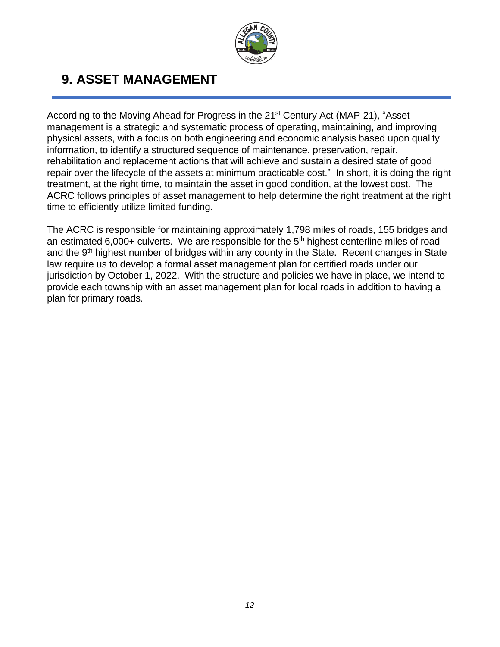

### **9. ASSET MANAGEMENT**

According to the Moving Ahead for Progress in the 21<sup>st</sup> Century Act (MAP-21), "Asset management is a strategic and systematic process of operating, maintaining, and improving physical assets, with a focus on both engineering and economic analysis based upon quality information, to identify a structured sequence of maintenance, preservation, repair, rehabilitation and replacement actions that will achieve and sustain a desired state of good repair over the lifecycle of the assets at minimum practicable cost." In short, it is doing the right treatment, at the right time, to maintain the asset in good condition, at the lowest cost. The ACRC follows principles of asset management to help determine the right treatment at the right time to efficiently utilize limited funding.

The ACRC is responsible for maintaining approximately 1,798 miles of roads, 155 bridges and an estimated 6,000+ culverts. We are responsible for the  $5<sup>th</sup>$  highest centerline miles of road and the 9<sup>th</sup> highest number of bridges within any county in the State. Recent changes in State law require us to develop a formal asset management plan for certified roads under our jurisdiction by October 1, 2022. With the structure and policies we have in place, we intend to provide each township with an asset management plan for local roads in addition to having a plan for primary roads.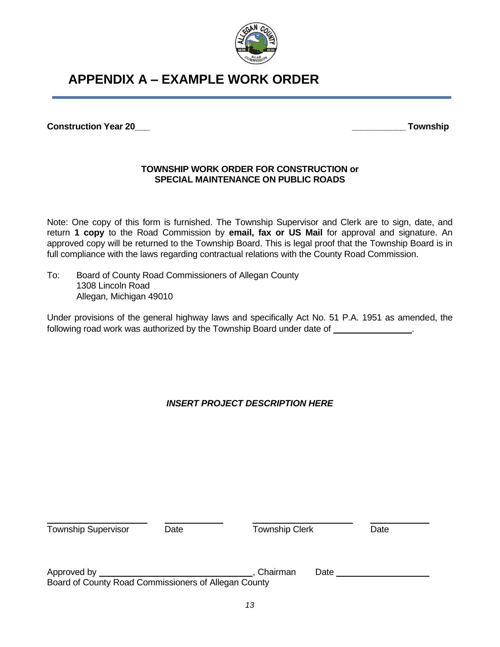

### **APPENDIX A – EXAMPLE WORK ORDER**

**Construction Year 20\_\_\_ \_\_\_\_\_\_\_\_\_\_\_ Township**

#### **TOWNSHIP WORK ORDER FOR CONSTRUCTION or SPECIAL MAINTENANCE ON PUBLIC ROADS**

Note: One copy of this form is furnished. The Township Supervisor and Clerk are to sign, date, and return **1 copy** to the Road Commission by **email, fax or US Mail** for approval and signature. An approved copy will be returned to the Township Board. This is legal proof that the Township Board is in full compliance with the laws regarding contractual relations with the County Road Commission.

To: Board of County Road Commissioners of Allegan County 1308 Lincoln Road Allegan, Michigan 49010

Under provisions of the general highway laws and specifically Act No. 51 P.A. 1951 as amended, the following road work was authorized by the Township Board under date of \_\_\_\_\_\_\_\_\_\_\_\_\_\_\_.

#### *INSERT PROJECT DESCRIPTION HERE*

| <b>Township Supervisor</b>                           | Date | <b>Township Clerk</b> |      | Date |
|------------------------------------------------------|------|-----------------------|------|------|
| Approved by                                          |      | Chairman              | Date |      |
| Board of County Road Commissioners of Allegan County |      |                       |      |      |